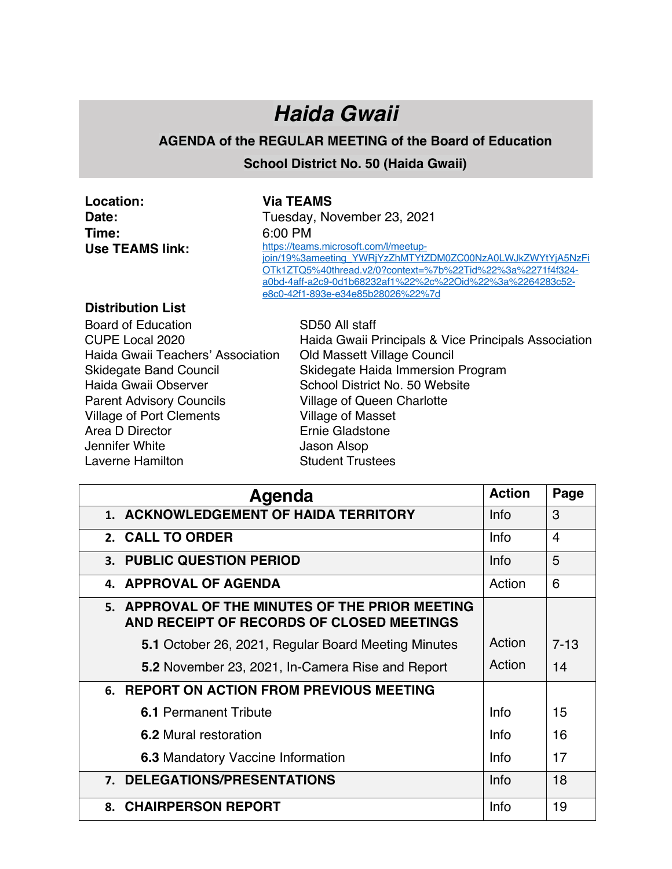## *Haida Gwaii*

## **AGENDA of the REGULAR MEETING of the Board of Education**

**School District No. 50 (Haida Gwaii)**

| Location:                | <b>Via TEAMS</b>                                                                                                                                                                                                                                                    |
|--------------------------|---------------------------------------------------------------------------------------------------------------------------------------------------------------------------------------------------------------------------------------------------------------------|
| Date:                    | Tuesday, November 23, 2021                                                                                                                                                                                                                                          |
| Time:                    | 6:00 PM                                                                                                                                                                                                                                                             |
| <b>Use TEAMS link:</b>   | https://teams.microsoft.com/l/meetup-<br>join/19%3ameeting YWRjYzZhMTYtZDM0ZC00NzA0LWJkZWYtYjA5NzFi<br>OTk1ZTQ5%40thread.v2/0?context=%7b%22Tid%22%3a%2271f4f324-<br>a0bd-4aff-a2c9-0d1b68232af1%22%2c%22Oid%22%3a%2264283c52-<br>e8c0-42f1-893e-e34e85b28026%22%7d |
| <b>Distribution List</b> |                                                                                                                                                                                                                                                                     |

Board of Education SD50 All staff Haida Gwaii Teachers' Association Old Massett Village Council Haida Gwaii Observer School District No. 50 Website Parent Advisory Councils **Village of Queen Charlotte** Village of Port Clements Village of Masset Area D Director **Ernie Gladstone** Jennifer White **Jason Alsop** Laverne Hamilton **Student Trustees** 

CUPE Local 2020 Haida Gwaii Principals & Vice Principals Association Skidegate Band Council Skidegate Haida Immersion Program

| Agenda                                                                                       | <b>Action</b> | Page           |
|----------------------------------------------------------------------------------------------|---------------|----------------|
| 1. ACKNOWLEDGEMENT OF HAIDA TERRITORY                                                        | Info          | 3              |
| 2. CALL TO ORDER                                                                             | Info          | $\overline{4}$ |
| <b>3. PUBLIC QUESTION PERIOD</b>                                                             |               | 5              |
| 4. APPROVAL OF AGENDA                                                                        | Action        | 6              |
| 5. APPROVAL OF THE MINUTES OF THE PRIOR MEETING<br>AND RECEIPT OF RECORDS OF CLOSED MEETINGS |               |                |
| 5.1 October 26, 2021, Regular Board Meeting Minutes                                          | Action        | $7 - 13$       |
| 5.2 November 23, 2021, In-Camera Rise and Report                                             | Action        | 14             |
| 6. REPORT ON ACTION FROM PREVIOUS MEETING                                                    |               |                |
| <b>6.1 Permanent Tribute</b>                                                                 | Info          | 15             |
| 6.2 Mural restoration                                                                        | Info          | 16             |
| <b>6.3 Mandatory Vaccine Information</b>                                                     | Info          | 17             |
| 7. DELEGATIONS/PRESENTATIONS                                                                 | Info          | 18             |
| 8. CHAIRPERSON REPORT                                                                        | Info          | 19             |